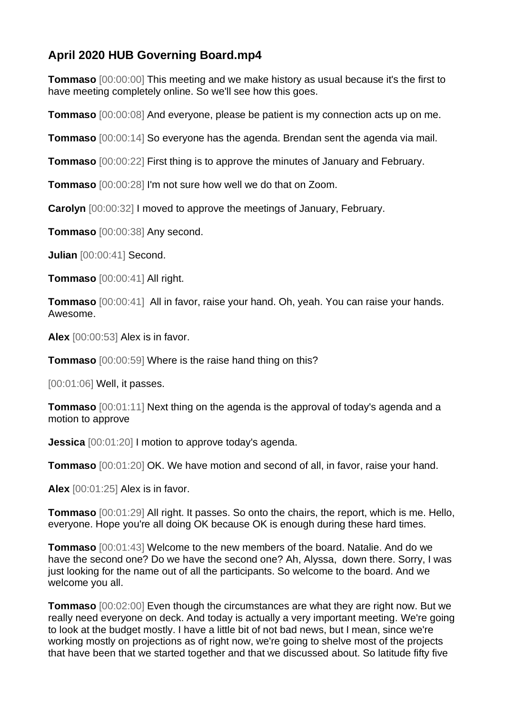## **April 2020 HUB Governing Board.mp4**

**Tommaso** [00:00:00] This meeting and we make history as usual because it's the first to have meeting completely online. So we'll see how this goes.

**Tommaso** [00:00:08] And everyone, please be patient is my connection acts up on me.

**Tommaso** [00:00:14] So everyone has the agenda. Brendan sent the agenda via mail.

**Tommaso** [00:00:22] First thing is to approve the minutes of January and February.

**Tommaso** [00:00:28] I'm not sure how well we do that on Zoom.

**Carolyn** [00:00:32] I moved to approve the meetings of January, February.

**Tommaso** [00:00:38] Any second.

**Julian** [00:00:41] Second.

**Tommaso** [00:00:41] All right.

**Tommaso** [00:00:41] All in favor, raise your hand. Oh, yeah. You can raise your hands. Awesome.

**Alex** [00:00:53] Alex is in favor.

**Tommaso** [00:00:59] Where is the raise hand thing on this?

[00:01:06] Well, it passes.

**Tommaso** [00:01:11] Next thing on the agenda is the approval of today's agenda and a motion to approve

**Jessica** [00:01:20] I motion to approve today's agenda.

**Tommaso** [00:01:20] OK. We have motion and second of all, in favor, raise your hand.

**Alex** [00:01:25] Alex is in favor.

**Tommaso** [00:01:29] All right. It passes. So onto the chairs, the report, which is me. Hello, everyone. Hope you're all doing OK because OK is enough during these hard times.

**Tommaso** [00:01:43] Welcome to the new members of the board. Natalie. And do we have the second one? Do we have the second one? Ah, Alyssa, down there. Sorry, I was just looking for the name out of all the participants. So welcome to the board. And we welcome you all.

**Tommaso** [00:02:00] Even though the circumstances are what they are right now. But we really need everyone on deck. And today is actually a very important meeting. We're going to look at the budget mostly. I have a little bit of not bad news, but I mean, since we're working mostly on projections as of right now, we're going to shelve most of the projects that have been that we started together and that we discussed about. So latitude fifty five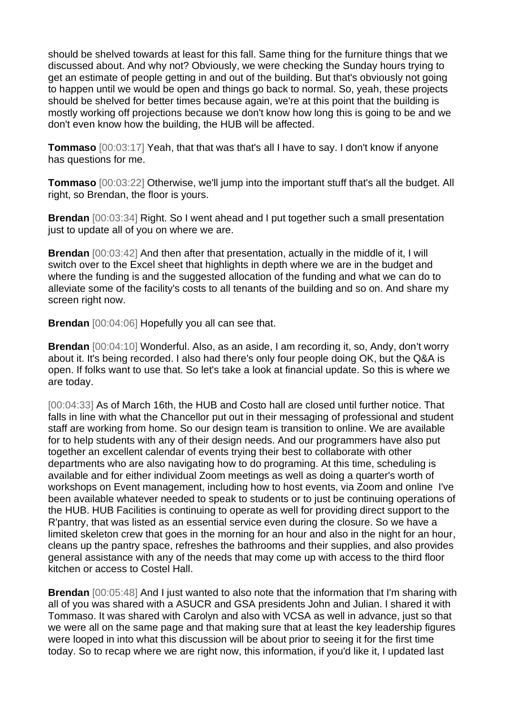should be shelved towards at least for this fall. Same thing for the furniture things that we discussed about. And why not? Obviously, we were checking the Sunday hours trying to get an estimate of people getting in and out of the building. But that's obviously not going to happen until we would be open and things go back to normal. So, yeah, these projects should be shelved for better times because again, we're at this point that the building is mostly working off projections because we don't know how long this is going to be and we don't even know how the building, the HUB will be affected.

**Tommaso** [00:03:17] Yeah, that that was that's all I have to say. I don't know if anyone has questions for me.

**Tommaso** [00:03:22] Otherwise, we'll jump into the important stuff that's all the budget. All right, so Brendan, the floor is yours.

**Brendan** [00:03:34] Right. So I went ahead and I put together such a small presentation just to update all of you on where we are.

**Brendan** [00:03:42] And then after that presentation, actually in the middle of it, I will switch over to the Excel sheet that highlights in depth where we are in the budget and where the funding is and the suggested allocation of the funding and what we can do to alleviate some of the facility's costs to all tenants of the building and so on. And share my screen right now.

**Brendan** [00:04:06] Hopefully you all can see that.

**Brendan** [00:04:10] Wonderful. Also, as an aside, I am recording it, so, Andy, don't worry about it. It's being recorded. I also had there's only four people doing OK, but the Q&A is open. If folks want to use that. So let's take a look at financial update. So this is where we are today.

[00:04:33] As of March 16th, the HUB and Costo hall are closed until further notice. That falls in line with what the Chancellor put out in their messaging of professional and student staff are working from home. So our design team is transition to online. We are available for to help students with any of their design needs. And our programmers have also put together an excellent calendar of events trying their best to collaborate with other departments who are also navigating how to do programing. At this time, scheduling is available and for either individual Zoom meetings as well as doing a quarter's worth of workshops on Event management, including how to host events, via Zoom and online I've been available whatever needed to speak to students or to just be continuing operations of the HUB. HUB Facilities is continuing to operate as well for providing direct support to the R'pantry, that was listed as an essential service even during the closure. So we have a limited skeleton crew that goes in the morning for an hour and also in the night for an hour, cleans up the pantry space, refreshes the bathrooms and their supplies, and also provides general assistance with any of the needs that may come up with access to the third floor kitchen or access to Costel Hall.

**Brendan** [00:05:48] And I just wanted to also note that the information that I'm sharing with all of you was shared with a ASUCR and GSA presidents John and Julian. I shared it with Tommaso. It was shared with Carolyn and also with VCSA as well in advance, just so that we were all on the same page and that making sure that at least the key leadership figures were looped in into what this discussion will be about prior to seeing it for the first time today. So to recap where we are right now, this information, if you'd like it, I updated last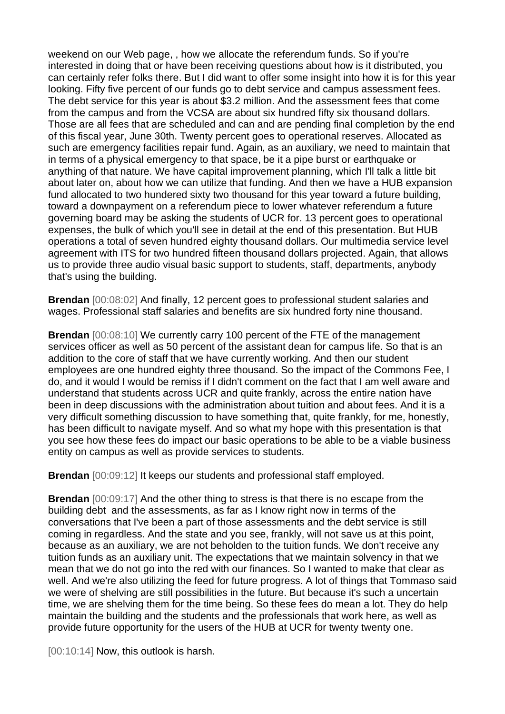weekend on our Web page, , how we allocate the referendum funds. So if you're interested in doing that or have been receiving questions about how is it distributed, you can certainly refer folks there. But I did want to offer some insight into how it is for this year looking. Fifty five percent of our funds go to debt service and campus assessment fees. The debt service for this year is about \$3.2 million. And the assessment fees that come from the campus and from the VCSA are about six hundred fifty six thousand dollars. Those are all fees that are scheduled and can and are pending final completion by the end of this fiscal year, June 30th. Twenty percent goes to operational reserves. Allocated as such are emergency facilities repair fund. Again, as an auxiliary, we need to maintain that in terms of a physical emergency to that space, be it a pipe burst or earthquake or anything of that nature. We have capital improvement planning, which I'll talk a little bit about later on, about how we can utilize that funding. And then we have a HUB expansion fund allocated to two hundered sixty two thousand for this year toward a future building, toward a downpayment on a referendum piece to lower whatever referendum a future governing board may be asking the students of UCR for. 13 percent goes to operational expenses, the bulk of which you'll see in detail at the end of this presentation. But HUB operations a total of seven hundred eighty thousand dollars. Our multimedia service level agreement with ITS for two hundred fifteen thousand dollars projected. Again, that allows us to provide three audio visual basic support to students, staff, departments, anybody that's using the building.

**Brendan** [00:08:02] And finally, 12 percent goes to professional student salaries and wages. Professional staff salaries and benefits are six hundred forty nine thousand.

**Brendan** [00:08:10] We currently carry 100 percent of the FTE of the management services officer as well as 50 percent of the assistant dean for campus life. So that is an addition to the core of staff that we have currently working. And then our student employees are one hundred eighty three thousand. So the impact of the Commons Fee, I do, and it would I would be remiss if I didn't comment on the fact that I am well aware and understand that students across UCR and quite frankly, across the entire nation have been in deep discussions with the administration about tuition and about fees. And it is a very difficult something discussion to have something that, quite frankly, for me, honestly, has been difficult to navigate myself. And so what my hope with this presentation is that you see how these fees do impact our basic operations to be able to be a viable business entity on campus as well as provide services to students.

**Brendan** [00:09:12] It keeps our students and professional staff employed.

**Brendan** [00:09:17] And the other thing to stress is that there is no escape from the building debt and the assessments, as far as I know right now in terms of the conversations that I've been a part of those assessments and the debt service is still coming in regardless. And the state and you see, frankly, will not save us at this point, because as an auxiliary, we are not beholden to the tuition funds. We don't receive any tuition funds as an auxiliary unit. The expectations that we maintain solvency in that we mean that we do not go into the red with our finances. So I wanted to make that clear as well. And we're also utilizing the feed for future progress. A lot of things that Tommaso said we were of shelving are still possibilities in the future. But because it's such a uncertain time, we are shelving them for the time being. So these fees do mean a lot. They do help maintain the building and the students and the professionals that work here, as well as provide future opportunity for the users of the HUB at UCR for twenty twenty one.

[00:10:14] Now, this outlook is harsh.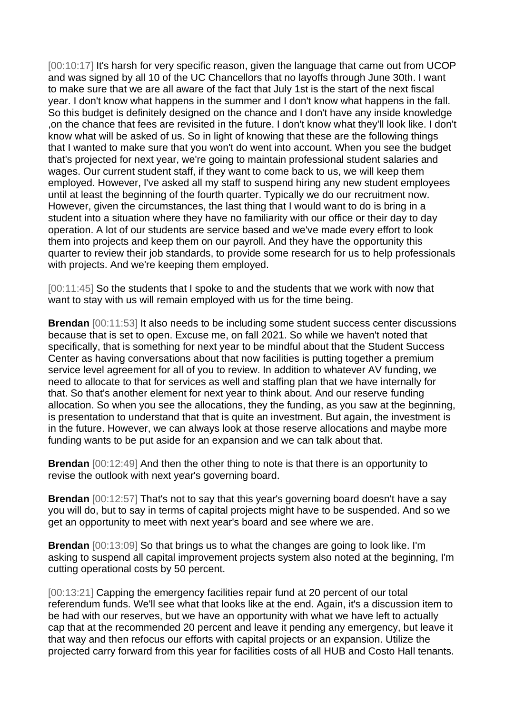[00:10:17] It's harsh for very specific reason, given the language that came out from UCOP and was signed by all 10 of the UC Chancellors that no layoffs through June 30th. I want to make sure that we are all aware of the fact that July 1st is the start of the next fiscal year. I don't know what happens in the summer and I don't know what happens in the fall. So this budget is definitely designed on the chance and I don't have any inside knowledge ,on the chance that fees are revisited in the future. I don't know what they'll look like. I don't know what will be asked of us. So in light of knowing that these are the following things that I wanted to make sure that you won't do went into account. When you see the budget that's projected for next year, we're going to maintain professional student salaries and wages. Our current student staff, if they want to come back to us, we will keep them employed. However, I've asked all my staff to suspend hiring any new student employees until at least the beginning of the fourth quarter. Typically we do our recruitment now. However, given the circumstances, the last thing that I would want to do is bring in a student into a situation where they have no familiarity with our office or their day to day operation. A lot of our students are service based and we've made every effort to look them into projects and keep them on our payroll. And they have the opportunity this quarter to review their job standards, to provide some research for us to help professionals with projects. And we're keeping them employed.

[00:11:45] So the students that I spoke to and the students that we work with now that want to stay with us will remain employed with us for the time being.

**Brendan** [00:11:53] It also needs to be including some student success center discussions because that is set to open. Excuse me, on fall 2021. So while we haven't noted that specifically, that is something for next year to be mindful about that the Student Success Center as having conversations about that now facilities is putting together a premium service level agreement for all of you to review. In addition to whatever AV funding, we need to allocate to that for services as well and staffing plan that we have internally for that. So that's another element for next year to think about. And our reserve funding allocation. So when you see the allocations, they the funding, as you saw at the beginning, is presentation to understand that that is quite an investment. But again, the investment is in the future. However, we can always look at those reserve allocations and maybe more funding wants to be put aside for an expansion and we can talk about that.

**Brendan** [00:12:49] And then the other thing to note is that there is an opportunity to revise the outlook with next year's governing board.

**Brendan** [00:12:57] That's not to say that this year's governing board doesn't have a say you will do, but to say in terms of capital projects might have to be suspended. And so we get an opportunity to meet with next year's board and see where we are.

**Brendan** [00:13:09] So that brings us to what the changes are going to look like. I'm asking to suspend all capital improvement projects system also noted at the beginning, I'm cutting operational costs by 50 percent.

[00:13:21] Capping the emergency facilities repair fund at 20 percent of our total referendum funds. We'll see what that looks like at the end. Again, it's a discussion item to be had with our reserves, but we have an opportunity with what we have left to actually cap that at the recommended 20 percent and leave it pending any emergency, but leave it that way and then refocus our efforts with capital projects or an expansion. Utilize the projected carry forward from this year for facilities costs of all HUB and Costo Hall tenants.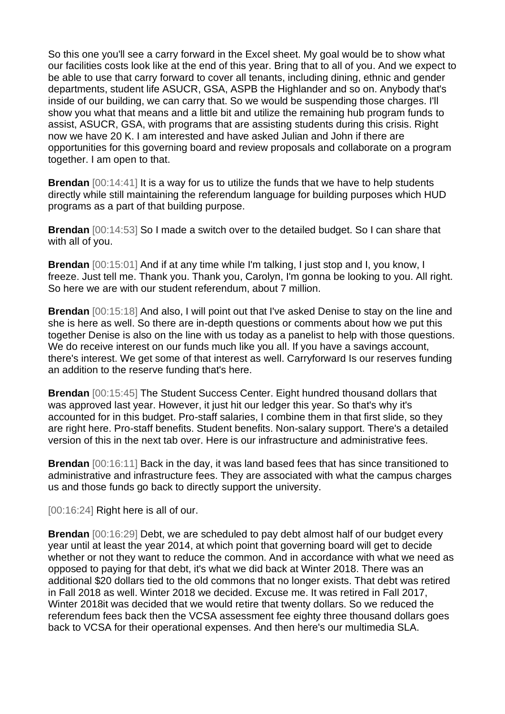So this one you'll see a carry forward in the Excel sheet. My goal would be to show what our facilities costs look like at the end of this year. Bring that to all of you. And we expect to be able to use that carry forward to cover all tenants, including dining, ethnic and gender departments, student life ASUCR, GSA, ASPB the Highlander and so on. Anybody that's inside of our building, we can carry that. So we would be suspending those charges. I'll show you what that means and a little bit and utilize the remaining hub program funds to assist, ASUCR, GSA, with programs that are assisting students during this crisis. Right now we have 20 K. I am interested and have asked Julian and John if there are opportunities for this governing board and review proposals and collaborate on a program together. I am open to that.

**Brendan** [00:14:41] It is a way for us to utilize the funds that we have to help students directly while still maintaining the referendum language for building purposes which HUD programs as a part of that building purpose.

**Brendan** [00:14:53] So I made a switch over to the detailed budget. So I can share that with all of you.

**Brendan** [00:15:01] And if at any time while I'm talking, I just stop and I, you know, I freeze. Just tell me. Thank you. Thank you, Carolyn, I'm gonna be looking to you. All right. So here we are with our student referendum, about 7 million.

**Brendan** [00:15:18] And also, I will point out that I've asked Denise to stay on the line and she is here as well. So there are in-depth questions or comments about how we put this together Denise is also on the line with us today as a panelist to help with those questions. We do receive interest on our funds much like you all. If you have a savings account, there's interest. We get some of that interest as well. Carryforward Is our reserves funding an addition to the reserve funding that's here.

**Brendan** [00:15:45] The Student Success Center. Eight hundred thousand dollars that was approved last year. However, it just hit our ledger this year. So that's why it's accounted for in this budget. Pro-staff salaries, I combine them in that first slide, so they are right here. Pro-staff benefits. Student benefits. Non-salary support. There's a detailed version of this in the next tab over. Here is our infrastructure and administrative fees.

**Brendan** [00:16:11] Back in the day, it was land based fees that has since transitioned to administrative and infrastructure fees. They are associated with what the campus charges us and those funds go back to directly support the university.

[00:16:24] Right here is all of our.

**Brendan** [00:16:29] Debt, we are scheduled to pay debt almost half of our budget every year until at least the year 2014, at which point that governing board will get to decide whether or not they want to reduce the common. And in accordance with what we need as opposed to paying for that debt, it's what we did back at Winter 2018. There was an additional \$20 dollars tied to the old commons that no longer exists. That debt was retired in Fall 2018 as well. Winter 2018 we decided. Excuse me. It was retired in Fall 2017, Winter 2018it was decided that we would retire that twenty dollars. So we reduced the referendum fees back then the VCSA assessment fee eighty three thousand dollars goes back to VCSA for their operational expenses. And then here's our multimedia SLA.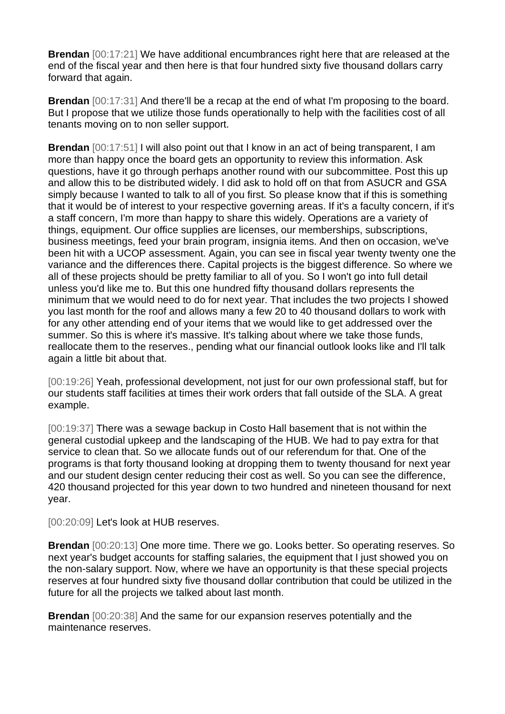**Brendan** [00:17:21] We have additional encumbrances right here that are released at the end of the fiscal year and then here is that four hundred sixty five thousand dollars carry forward that again.

**Brendan** [00:17:31] And there'll be a recap at the end of what I'm proposing to the board. But I propose that we utilize those funds operationally to help with the facilities cost of all tenants moving on to non seller support.

**Brendan** [00:17:51] I will also point out that I know in an act of being transparent, I am more than happy once the board gets an opportunity to review this information. Ask questions, have it go through perhaps another round with our subcommittee. Post this up and allow this to be distributed widely. I did ask to hold off on that from ASUCR and GSA simply because I wanted to talk to all of you first. So please know that if this is something that it would be of interest to your respective governing areas. If it's a faculty concern, if it's a staff concern, I'm more than happy to share this widely. Operations are a variety of things, equipment. Our office supplies are licenses, our memberships, subscriptions, business meetings, feed your brain program, insignia items. And then on occasion, we've been hit with a UCOP assessment. Again, you can see in fiscal year twenty twenty one the variance and the differences there. Capital projects is the biggest difference. So where we all of these projects should be pretty familiar to all of you. So I won't go into full detail unless you'd like me to. But this one hundred fifty thousand dollars represents the minimum that we would need to do for next year. That includes the two projects I showed you last month for the roof and allows many a few 20 to 40 thousand dollars to work with for any other attending end of your items that we would like to get addressed over the summer. So this is where it's massive. It's talking about where we take those funds, reallocate them to the reserves., pending what our financial outlook looks like and I'll talk again a little bit about that.

[00:19:26] Yeah, professional development, not just for our own professional staff, but for our students staff facilities at times their work orders that fall outside of the SLA. A great example.

[00:19:37] There was a sewage backup in Costo Hall basement that is not within the general custodial upkeep and the landscaping of the HUB. We had to pay extra for that service to clean that. So we allocate funds out of our referendum for that. One of the programs is that forty thousand looking at dropping them to twenty thousand for next year and our student design center reducing their cost as well. So you can see the difference, 420 thousand projected for this year down to two hundred and nineteen thousand for next year.

[00:20:09] Let's look at HUB reserves.

**Brendan** [00:20:13] One more time. There we go. Looks better. So operating reserves. So next year's budget accounts for staffing salaries, the equipment that I just showed you on the non-salary support. Now, where we have an opportunity is that these special projects reserves at four hundred sixty five thousand dollar contribution that could be utilized in the future for all the projects we talked about last month.

**Brendan** [00:20:38] And the same for our expansion reserves potentially and the maintenance reserves.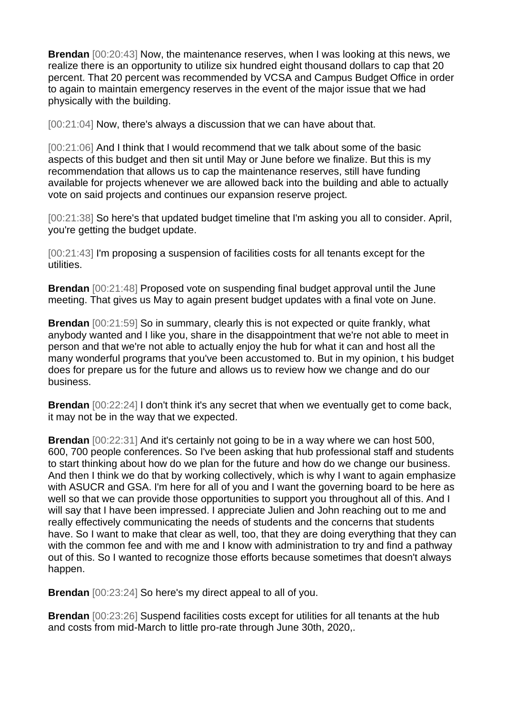**Brendan** [00:20:43] Now, the maintenance reserves, when I was looking at this news, we realize there is an opportunity to utilize six hundred eight thousand dollars to cap that 20 percent. That 20 percent was recommended by VCSA and Campus Budget Office in order to again to maintain emergency reserves in the event of the major issue that we had physically with the building.

[00:21:04] Now, there's always a discussion that we can have about that.

[00:21:06] And I think that I would recommend that we talk about some of the basic aspects of this budget and then sit until May or June before we finalize. But this is my recommendation that allows us to cap the maintenance reserves, still have funding available for projects whenever we are allowed back into the building and able to actually vote on said projects and continues our expansion reserve project.

[00:21:38] So here's that updated budget timeline that I'm asking you all to consider. April, you're getting the budget update.

[00:21:43] I'm proposing a suspension of facilities costs for all tenants except for the utilities.

**Brendan** [00:21:48] Proposed vote on suspending final budget approval until the June meeting. That gives us May to again present budget updates with a final vote on June.

**Brendan** [00:21:59] So in summary, clearly this is not expected or quite frankly, what anybody wanted and I like you, share in the disappointment that we're not able to meet in person and that we're not able to actually enjoy the hub for what it can and host all the many wonderful programs that you've been accustomed to. But in my opinion, t his budget does for prepare us for the future and allows us to review how we change and do our business.

**Brendan** [00:22:24] I don't think it's any secret that when we eventually get to come back, it may not be in the way that we expected.

**Brendan** [00:22:31] And it's certainly not going to be in a way where we can host 500, 600, 700 people conferences. So I've been asking that hub professional staff and students to start thinking about how do we plan for the future and how do we change our business. And then I think we do that by working collectively, which is why I want to again emphasize with ASUCR and GSA. I'm here for all of you and I want the governing board to be here as well so that we can provide those opportunities to support you throughout all of this. And I will say that I have been impressed. I appreciate Julien and John reaching out to me and really effectively communicating the needs of students and the concerns that students have. So I want to make that clear as well, too, that they are doing everything that they can with the common fee and with me and I know with administration to try and find a pathway out of this. So I wanted to recognize those efforts because sometimes that doesn't always happen.

**Brendan** [00:23:24] So here's my direct appeal to all of you.

**Brendan** [00:23:26] Suspend facilities costs except for utilities for all tenants at the hub and costs from mid-March to little pro-rate through June 30th, 2020,.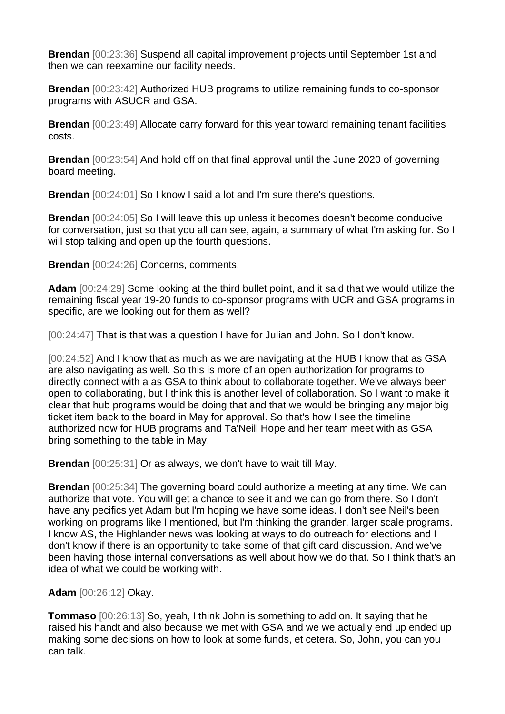**Brendan** [00:23:36] Suspend all capital improvement projects until September 1st and then we can reexamine our facility needs.

**Brendan** [00:23:42] Authorized HUB programs to utilize remaining funds to co-sponsor programs with ASUCR and GSA.

**Brendan** [00:23:49] Allocate carry forward for this year toward remaining tenant facilities costs.

**Brendan** [00:23:54] And hold off on that final approval until the June 2020 of governing board meeting.

**Brendan** [00:24:01] So I know I said a lot and I'm sure there's questions.

**Brendan** [00:24:05] So I will leave this up unless it becomes doesn't become conducive for conversation, just so that you all can see, again, a summary of what I'm asking for. So I will stop talking and open up the fourth questions.

**Brendan** [00:24:26] Concerns, comments.

**Adam** [00:24:29] Some looking at the third bullet point, and it said that we would utilize the remaining fiscal year 19-20 funds to co-sponsor programs with UCR and GSA programs in specific, are we looking out for them as well?

[00:24:47] That is that was a question I have for Julian and John. So I don't know.

[00:24:52] And I know that as much as we are navigating at the HUB I know that as GSA are also navigating as well. So this is more of an open authorization for programs to directly connect with a as GSA to think about to collaborate together. We've always been open to collaborating, but I think this is another level of collaboration. So I want to make it clear that hub programs would be doing that and that we would be bringing any major big ticket item back to the board in May for approval. So that's how I see the timeline authorized now for HUB programs and Ta'Neill Hope and her team meet with as GSA bring something to the table in May.

**Brendan** [00:25:31] Or as always, we don't have to wait till May.

**Brendan** [00:25:34] The governing board could authorize a meeting at any time. We can authorize that vote. You will get a chance to see it and we can go from there. So I don't have any pecifics yet Adam but I'm hoping we have some ideas. I don't see Neil's been working on programs like I mentioned, but I'm thinking the grander, larger scale programs. I know AS, the Highlander news was looking at ways to do outreach for elections and I don't know if there is an opportunity to take some of that gift card discussion. And we've been having those internal conversations as well about how we do that. So I think that's an idea of what we could be working with.

**Adam** [00:26:12] Okay.

**Tommaso** [00:26:13] So, yeah, I think John is something to add on. It saying that he raised his handt and also because we met with GSA and we we actually end up ended up making some decisions on how to look at some funds, et cetera. So, John, you can you can talk.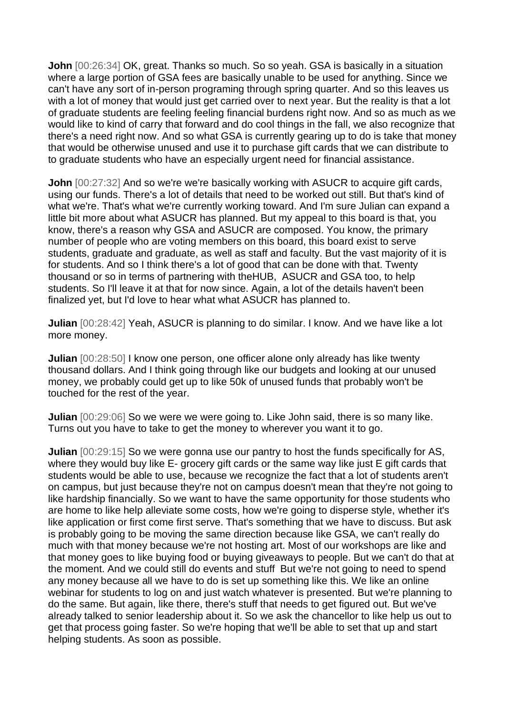**John** [00:26:34] OK, great. Thanks so much. So so yeah. GSA is basically in a situation where a large portion of GSA fees are basically unable to be used for anything. Since we can't have any sort of in-person programing through spring quarter. And so this leaves us with a lot of money that would just get carried over to next year. But the reality is that a lot of graduate students are feeling feeling financial burdens right now. And so as much as we would like to kind of carry that forward and do cool things in the fall, we also recognize that there's a need right now. And so what GSA is currently gearing up to do is take that money that would be otherwise unused and use it to purchase gift cards that we can distribute to to graduate students who have an especially urgent need for financial assistance.

**John** [00:27:32] And so we're we're basically working with ASUCR to acquire gift cards, using our funds. There's a lot of details that need to be worked out still. But that's kind of what we're. That's what we're currently working toward. And I'm sure Julian can expand a little bit more about what ASUCR has planned. But my appeal to this board is that, you know, there's a reason why GSA and ASUCR are composed. You know, the primary number of people who are voting members on this board, this board exist to serve students, graduate and graduate, as well as staff and faculty. But the vast majority of it is for students. And so I think there's a lot of good that can be done with that. Twenty thousand or so in terms of partnering with theHUB, ASUCR and GSA too, to help students. So I'll leave it at that for now since. Again, a lot of the details haven't been finalized yet, but I'd love to hear what what ASUCR has planned to.

**Julian** [00:28:42] Yeah, ASUCR is planning to do similar. I know. And we have like a lot more money.

**Julian** [00:28:50] I know one person, one officer alone only already has like twenty thousand dollars. And I think going through like our budgets and looking at our unused money, we probably could get up to like 50k of unused funds that probably won't be touched for the rest of the year.

**Julian** [00:29:06] So we were we were going to. Like John said, there is so many like. Turns out you have to take to get the money to wherever you want it to go.

**Julian**  $[00:29:15]$  So we were gonna use our pantry to host the funds specifically for AS, where they would buy like E- grocery gift cards or the same way like just E gift cards that students would be able to use, because we recognize the fact that a lot of students aren't on campus, but just because they're not on campus doesn't mean that they're not going to like hardship financially. So we want to have the same opportunity for those students who are home to like help alleviate some costs, how we're going to disperse style, whether it's like application or first come first serve. That's something that we have to discuss. But ask is probably going to be moving the same direction because like GSA, we can't really do much with that money because we're not hosting art. Most of our workshops are like and that money goes to like buying food or buying giveaways to people. But we can't do that at the moment. And we could still do events and stuff But we're not going to need to spend any money because all we have to do is set up something like this. We like an online webinar for students to log on and just watch whatever is presented. But we're planning to do the same. But again, like there, there's stuff that needs to get figured out. But we've already talked to senior leadership about it. So we ask the chancellor to like help us out to get that process going faster. So we're hoping that we'll be able to set that up and start helping students. As soon as possible.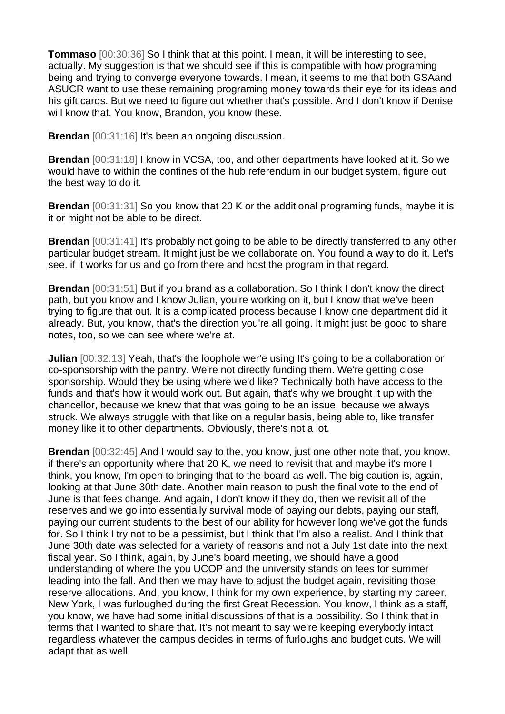**Tommaso** [00:30:36] So I think that at this point. I mean, it will be interesting to see, actually. My suggestion is that we should see if this is compatible with how programing being and trying to converge everyone towards. I mean, it seems to me that both GSAand ASUCR want to use these remaining programing money towards their eye for its ideas and his gift cards. But we need to figure out whether that's possible. And I don't know if Denise will know that. You know, Brandon, you know these.

**Brendan** [00:31:16] It's been an ongoing discussion.

**Brendan** [00:31:18] I know in VCSA, too, and other departments have looked at it. So we would have to within the confines of the hub referendum in our budget system, figure out the best way to do it.

**Brendan** [00:31:31] So you know that 20 K or the additional programing funds, maybe it is it or might not be able to be direct.

**Brendan** [00:31:41] It's probably not going to be able to be directly transferred to any other particular budget stream. It might just be we collaborate on. You found a way to do it. Let's see. if it works for us and go from there and host the program in that regard.

**Brendan** [00:31:51] But if you brand as a collaboration. So I think I don't know the direct path, but you know and I know Julian, you're working on it, but I know that we've been trying to figure that out. It is a complicated process because I know one department did it already. But, you know, that's the direction you're all going. It might just be good to share notes, too, so we can see where we're at.

**Julian** [00:32:13] Yeah, that's the loophole wer'e using It's going to be a collaboration or co-sponsorship with the pantry. We're not directly funding them. We're getting close sponsorship. Would they be using where we'd like? Technically both have access to the funds and that's how it would work out. But again, that's why we brought it up with the chancellor, because we knew that that was going to be an issue, because we always struck. We always struggle with that like on a regular basis, being able to, like transfer money like it to other departments. Obviously, there's not a lot.

**Brendan** [00:32:45] And I would say to the, you know, just one other note that, you know, if there's an opportunity where that 20 K, we need to revisit that and maybe it's more I think, you know, I'm open to bringing that to the board as well. The big caution is, again, looking at that June 30th date. Another main reason to push the final vote to the end of June is that fees change. And again, I don't know if they do, then we revisit all of the reserves and we go into essentially survival mode of paying our debts, paying our staff, paying our current students to the best of our ability for however long we've got the funds for. So I think I try not to be a pessimist, but I think that I'm also a realist. And I think that June 30th date was selected for a variety of reasons and not a July 1st date into the next fiscal year. So I think, again, by June's board meeting, we should have a good understanding of where the you UCOP and the university stands on fees for summer leading into the fall. And then we may have to adjust the budget again, revisiting those reserve allocations. And, you know, I think for my own experience, by starting my career, New York, I was furloughed during the first Great Recession. You know, I think as a staff, you know, we have had some initial discussions of that is a possibility. So I think that in terms that I wanted to share that. It's not meant to say we're keeping everybody intact regardless whatever the campus decides in terms of furloughs and budget cuts. We will adapt that as well.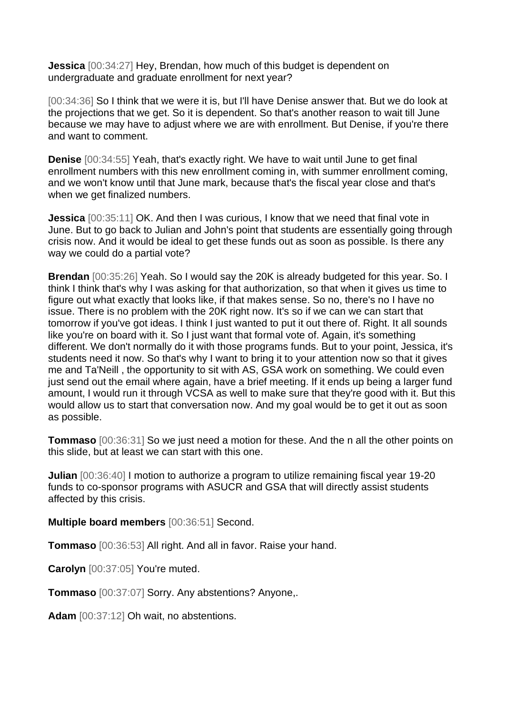**Jessica** [00:34:27] Hey, Brendan, how much of this budget is dependent on undergraduate and graduate enrollment for next year?

[00:34:36] So I think that we were it is, but I'll have Denise answer that. But we do look at the projections that we get. So it is dependent. So that's another reason to wait till June because we may have to adjust where we are with enrollment. But Denise, if you're there and want to comment.

**Denise** [00:34:55] Yeah, that's exactly right. We have to wait until June to get final enrollment numbers with this new enrollment coming in, with summer enrollment coming, and we won't know until that June mark, because that's the fiscal year close and that's when we get finalized numbers.

**Jessica** [00:35:11] OK. And then I was curious, I know that we need that final vote in June. But to go back to Julian and John's point that students are essentially going through crisis now. And it would be ideal to get these funds out as soon as possible. Is there any way we could do a partial vote?

**Brendan** [00:35:26] Yeah. So I would say the 20K is already budgeted for this year. So. I think I think that's why I was asking for that authorization, so that when it gives us time to figure out what exactly that looks like, if that makes sense. So no, there's no I have no issue. There is no problem with the 20K right now. It's so if we can we can start that tomorrow if you've got ideas. I think I just wanted to put it out there of. Right. It all sounds like you're on board with it. So I just want that formal vote of. Again, it's something different. We don't normally do it with those programs funds. But to your point, Jessica, it's students need it now. So that's why I want to bring it to your attention now so that it gives me and Ta'Neill , the opportunity to sit with AS, GSA work on something. We could even just send out the email where again, have a brief meeting. If it ends up being a larger fund amount, I would run it through VCSA as well to make sure that they're good with it. But this would allow us to start that conversation now. And my goal would be to get it out as soon as possible.

**Tommaso** [00:36:31] So we just need a motion for these. And the n all the other points on this slide, but at least we can start with this one.

**Julian** [00:36:40] I motion to authorize a program to utilize remaining fiscal year 19-20 funds to co-sponsor programs with ASUCR and GSA that will directly assist students affected by this crisis.

**Multiple board members** [00:36:51] Second.

**Tommaso** [00:36:53] All right. And all in favor. Raise your hand.

**Carolyn** [00:37:05] You're muted.

**Tommaso** [00:37:07] Sorry. Any abstentions? Anyone,.

**Adam** [00:37:12] Oh wait, no abstentions.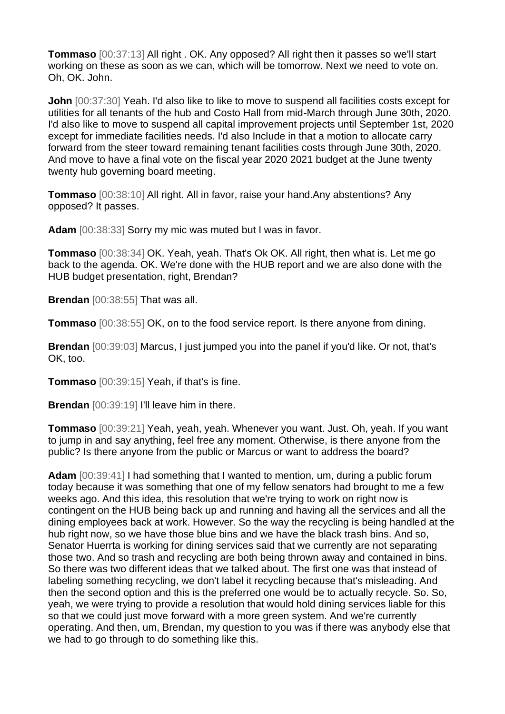**Tommaso** [00:37:13] All right . OK. Any opposed? All right then it passes so we'll start working on these as soon as we can, which will be tomorrow. Next we need to vote on. Oh, OK. John.

**John**  $[00:37:30]$  Yeah. I'd also like to like to move to suspend all facilities costs except for utilities for all tenants of the hub and Costo Hall from mid-March through June 30th, 2020. I'd also like to move to suspend all capital improvement projects until September 1st, 2020 except for immediate facilities needs. I'd also Include in that a motion to allocate carry forward from the steer toward remaining tenant facilities costs through June 30th, 2020. And move to have a final vote on the fiscal year 2020 2021 budget at the June twenty twenty hub governing board meeting.

**Tommaso** [00:38:10] All right. All in favor, raise your hand.Any abstentions? Any opposed? It passes.

**Adam** [00:38:33] Sorry my mic was muted but I was in favor.

**Tommaso** [00:38:34] OK. Yeah, yeah. That's Ok OK. All right, then what is. Let me go back to the agenda. OK. We're done with the HUB report and we are also done with the HUB budget presentation, right, Brendan?

**Brendan** [00:38:55] That was all.

**Tommaso** [00:38:55] OK, on to the food service report. Is there anyone from dining.

**Brendan** [00:39:03] Marcus, I just jumped you into the panel if you'd like. Or not, that's OK, too.

**Tommaso** [00:39:15] Yeah, if that's is fine.

**Brendan** [00:39:19] I'll leave him in there.

**Tommaso** [00:39:21] Yeah, yeah, yeah. Whenever you want. Just. Oh, yeah. If you want to jump in and say anything, feel free any moment. Otherwise, is there anyone from the public? Is there anyone from the public or Marcus or want to address the board?

**Adam** [00:39:41] I had something that I wanted to mention, um, during a public forum today because it was something that one of my fellow senators had brought to me a few weeks ago. And this idea, this resolution that we're trying to work on right now is contingent on the HUB being back up and running and having all the services and all the dining employees back at work. However. So the way the recycling is being handled at the hub right now, so we have those blue bins and we have the black trash bins. And so, Senator Huerrta is working for dining services said that we currently are not separating those two. And so trash and recycling are both being thrown away and contained in bins. So there was two different ideas that we talked about. The first one was that instead of labeling something recycling, we don't label it recycling because that's misleading. And then the second option and this is the preferred one would be to actually recycle. So. So, yeah, we were trying to provide a resolution that would hold dining services liable for this so that we could just move forward with a more green system. And we're currently operating. And then, um, Brendan, my question to you was if there was anybody else that we had to go through to do something like this.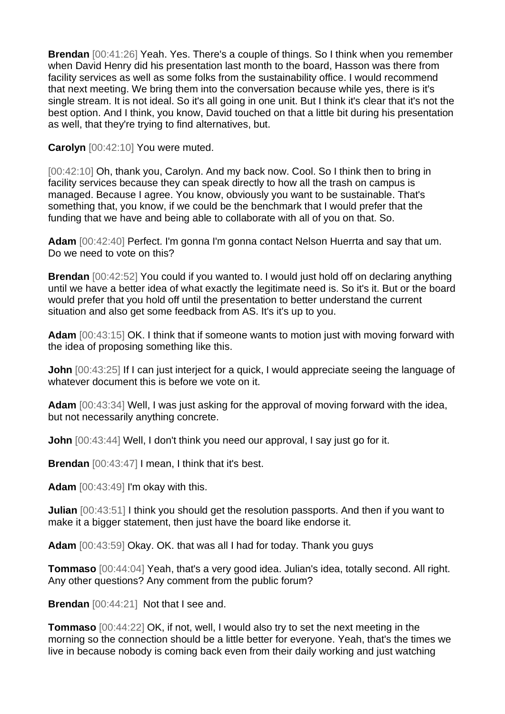**Brendan** [00:41:26] Yeah. Yes. There's a couple of things. So I think when you remember when David Henry did his presentation last month to the board, Hasson was there from facility services as well as some folks from the sustainability office. I would recommend that next meeting. We bring them into the conversation because while yes, there is it's single stream. It is not ideal. So it's all going in one unit. But I think it's clear that it's not the best option. And I think, you know, David touched on that a little bit during his presentation as well, that they're trying to find alternatives, but.

**Carolyn** [00:42:10] You were muted.

[00:42:10] Oh, thank you, Carolyn. And my back now. Cool. So I think then to bring in facility services because they can speak directly to how all the trash on campus is managed. Because I agree. You know, obviously you want to be sustainable. That's something that, you know, if we could be the benchmark that I would prefer that the funding that we have and being able to collaborate with all of you on that. So.

**Adam** [00:42:40] Perfect. I'm gonna I'm gonna contact Nelson Huerrta and say that um. Do we need to vote on this?

**Brendan** [00:42:52] You could if you wanted to. I would just hold off on declaring anything until we have a better idea of what exactly the legitimate need is. So it's it. But or the board would prefer that you hold off until the presentation to better understand the current situation and also get some feedback from AS. It's it's up to you.

**Adam** [00:43:15] OK. I think that if someone wants to motion just with moving forward with the idea of proposing something like this.

**John** [00:43:25] If I can just interject for a quick, I would appreciate seeing the language of whatever document this is before we vote on it.

**Adam** [00:43:34] Well, I was just asking for the approval of moving forward with the idea, but not necessarily anything concrete.

**John** [00:43:44] Well, I don't think you need our approval, I say just go for it.

**Brendan** [00:43:47] I mean, I think that it's best.

**Adam** [00:43:49] I'm okay with this.

**Julian** [00:43:51] I think you should get the resolution passports. And then if you want to make it a bigger statement, then just have the board like endorse it.

**Adam** [00:43:59] Okay. OK. that was all I had for today. Thank you guys

**Tommaso** [00:44:04] Yeah, that's a very good idea. Julian's idea, totally second. All right. Any other questions? Any comment from the public forum?

**Brendan** [00:44:21] Not that I see and.

**Tommaso** [00:44:22] OK, if not, well, I would also try to set the next meeting in the morning so the connection should be a little better for everyone. Yeah, that's the times we live in because nobody is coming back even from their daily working and just watching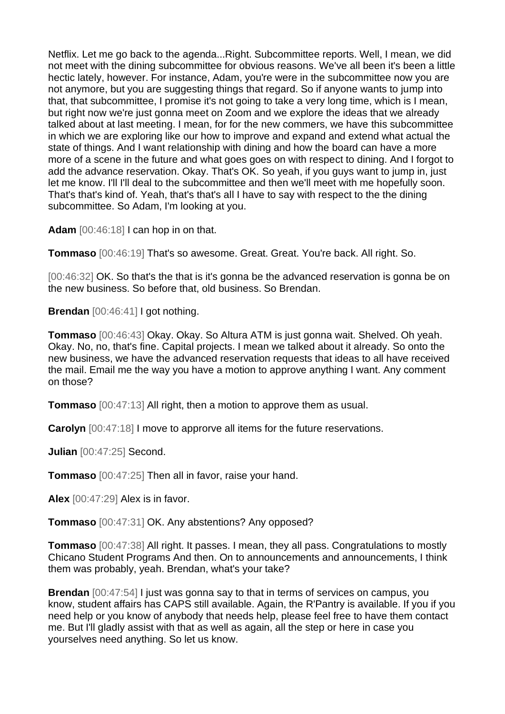Netflix. Let me go back to the agenda...Right. Subcommittee reports. Well, I mean, we did not meet with the dining subcommittee for obvious reasons. We've all been it's been a little hectic lately, however. For instance, Adam, you're were in the subcommittee now you are not anymore, but you are suggesting things that regard. So if anyone wants to jump into that, that subcommittee, I promise it's not going to take a very long time, which is I mean, but right now we're just gonna meet on Zoom and we explore the ideas that we already talked about at last meeting. I mean, for for the new commers, we have this subcommittee in which we are exploring like our how to improve and expand and extend what actual the state of things. And I want relationship with dining and how the board can have a more more of a scene in the future and what goes goes on with respect to dining. And I forgot to add the advance reservation. Okay. That's OK. So yeah, if you guys want to jump in, just let me know. I'll I'll deal to the subcommittee and then we'll meet with me hopefully soon. That's that's kind of. Yeah, that's that's all I have to say with respect to the the dining subcommittee. So Adam, I'm looking at you.

**Adam** [00:46:18] I can hop in on that.

**Tommaso** [00:46:19] That's so awesome. Great. Great. You're back. All right. So.

[00:46:32] OK. So that's the that is it's gonna be the advanced reservation is gonna be on the new business. So before that, old business. So Brendan.

**Brendan** [00:46:41] I got nothing.

**Tommaso** [00:46:43] Okay. Okay. So Altura ATM is just gonna wait. Shelved. Oh yeah. Okay. No, no, that's fine. Capital projects. I mean we talked about it already. So onto the new business, we have the advanced reservation requests that ideas to all have received the mail. Email me the way you have a motion to approve anything I want. Any comment on those?

**Tommaso** [00:47:13] All right, then a motion to approve them as usual.

**Carolyn** [00:47:18] I move to approrve all items for the future reservations.

**Julian** [00:47:25] Second.

**Tommaso** [00:47:25] Then all in favor, raise your hand.

**Alex** [00:47:29] Alex is in favor.

**Tommaso** [00:47:31] OK. Any abstentions? Any opposed?

**Tommaso** [00:47:38] All right. It passes. I mean, they all pass. Congratulations to mostly Chicano Student Programs And then. On to announcements and announcements, I think them was probably, yeah. Brendan, what's your take?

**Brendan** [00:47:54] I just was gonna say to that in terms of services on campus, you know, student affairs has CAPS still available. Again, the R'Pantry is available. If you if you need help or you know of anybody that needs help, please feel free to have them contact me. But I'll gladly assist with that as well as again, all the step or here in case you yourselves need anything. So let us know.